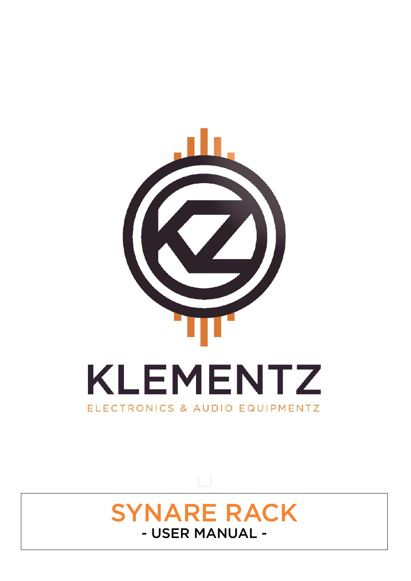

# SYNARE RACK<br>- USER MANUAL -- USER MANUAL -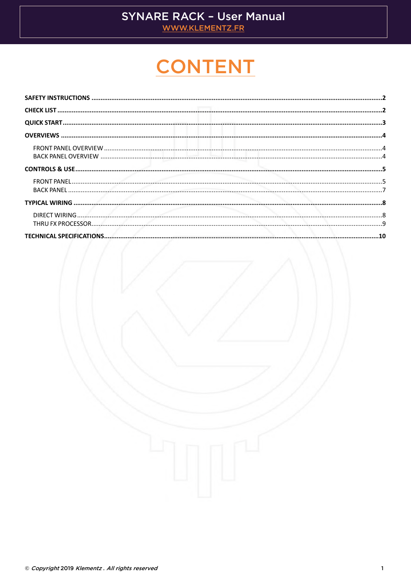## **SYNARE RACK - User Manual**

WWW.KLEMENTZ.FR

# **CONTENT**

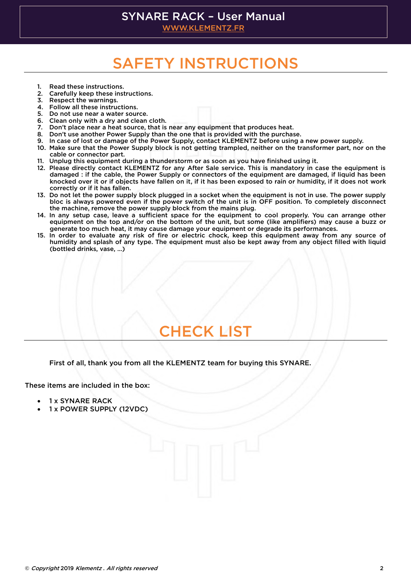### **SYNARE RACK - User Manual**

WWW.KLEMENTZ.FR [WWW.KLEMENTZ.FR](http://www.klementz.fr/)

# <u>SAFETY INSTRUCTIONS INSTRUCTIONS</u>

- 
- <span id="page-2-0"></span>1. Read these instructions.<br>2. Carefully keep these instructions.
- 3. Respect the warnings.
- 4. Follow all these instructions.
- 5. Do not use near a water source.
- 6. Clean only with a dry and clean cloth.
- 7. Don't place near a heat source, that is near any equipment that produces heat.
- 8. Don't use another Power Supply than the one that is provided with the purchase.
- 9. In case of lost or damage of the Power Supply, contact KLEMENTZ before using a new power supply.
- 10. Make sure that the Power Supply block is not getting trampled, neither on the transformer part, nor on the cable or connector part.
- 11. Unplug this equipment during a thunderstorm or as soon as you have finished using it.
- 12. Please directly contact KLEMENTZ for any After Sale service. This is mandatory in case the equipment is damaged : if the cable, the Power Supply or connectors of the equipment are damaged, if liquid has been knocked over it or if objects have fallen on it, if it has been exposed to rain or humidity, if it does not work correctly or if it has fallen.
- 13. Do not let the power supply block plugged in a socket when the equipment is not in use. The power supply bloc is always powered even if the power switch of the unit is in OFF position. To completely disconnect the machine, remove the power supply block from the mains plug.
- 14. In any setup case, leave a sufficient space for the equipment to cool properly. You can arrange other equipment on the top and/or on the bottom of the unit, but some (like amplifiers) may cause a buzz or generate too much heat, it may cause damage your equipment or degrade its performances.
- 15. In order to evaluate any risk of fire or electric chock, keep this equipment away from any source of humidity and splash of any type. The equipment must also be kept away from any object filled with liquid (bottled drinks, vase, ...) (bottled drinks, vase, …)

### **CHECK LIST CHECK LIST**

<span id="page-2-1"></span>First of all, thank you from all the KLEMENTZ team for buying this SYNARE.

These items are included in the box:

- 1 x SYNARE RACK<br>• 1 x POWER SUPPL
- 1 x POWER SUPPLY (12VDC)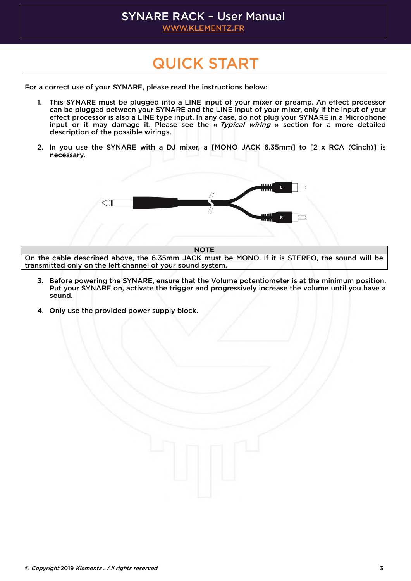# SYNARE RACK - User Manual

[WWW.KLEMENTZ.FR](http://www.klementz.fr/)

# <u>Quick Started Started Started Started Started Started Started Started Started Started Started Started Started Started Started Started Started Started Started Started Started Started Started Started Started Started Started</u>

<span id="page-3-0"></span>For a correct use of your SYNARE, please read the instructions below:

- 1. This SYNARE must be plugged into a LINE input of your mixer or preamp. An effect processor<br>can be plugged between your SYNARE and the LINE input of your mixer, only if the input of your effect processor is also a LINE type input. In any case, do not plug your SYNARE in a Microphone input or it may damage it. Please see the « Typical wiring » section for a more detailed<br>description of the possible wirings. description of the possible wirings.
- $2.5<sub>2</sub>$  in the SYNARC with a DJ mixer, a  $2<sub>1</sub>$  recessary, necessary.



NOTE<br>On the cable described above, the 6.35mm JACK must be MONO. If it is STEREO, the sound will be transmitted only on the left channel of your sound system. transmitted on the left channel of  $\mathcal{N}$  on the  $\mathcal{N}$ 

- Put your SYNARE on, activate the trigger and progressively increase the volume until you have a Put your SYNARE on, activate the trigger and progressively increase the volume until you have a
- 4. Only use the provided power supply block.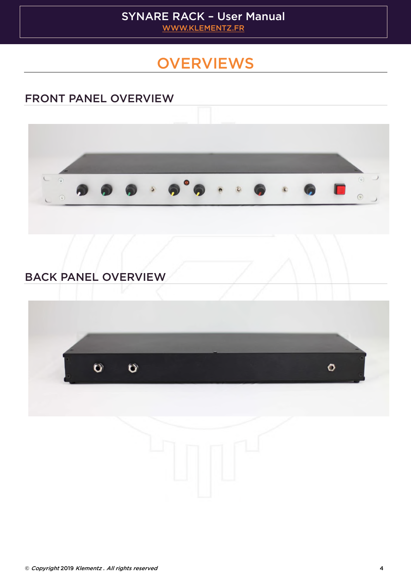### **OVERVIEWS**

### <span id="page-4-1"></span><span id="page-4-0"></span>FRONT PANEL OVERVIEW



# <span id="page-4-2"></span> $\overline{\phantom{a}}$

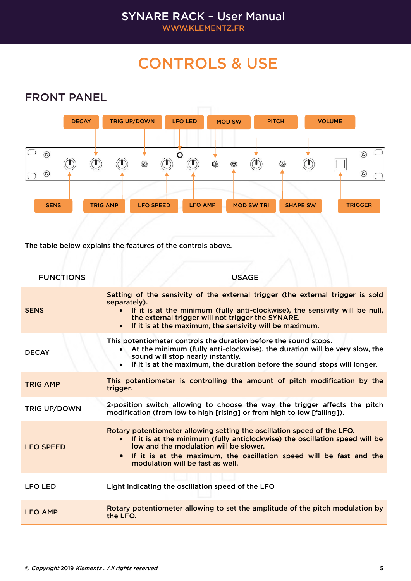## <span id="page-5-0"></span>CONTROLS & USE

<span id="page-5-1"></span>

The table below explains the features of the controls above.

| <b>FUNCTIONS</b>    | <b>USAGE</b>                                                                                                                                                                                                                                                                                                                          |
|---------------------|---------------------------------------------------------------------------------------------------------------------------------------------------------------------------------------------------------------------------------------------------------------------------------------------------------------------------------------|
| <b>SENS</b>         | Setting of the sensivity of the external trigger (the external trigger is sold<br>separately).<br>If it is at the minimum (fully anti-clockwise), the sensivity will be null,<br>the external trigger will not trigger the SYNARE.<br>If it is at the maximum, the sensivity will be maximum.<br>$\bullet$                            |
| <b>DECAY</b>        | This potentiometer controls the duration before the sound stops.<br>At the minimum (fully anti-clockwise), the duration will be very slow, the<br>$\bullet$<br>sound will stop nearly instantly.<br>If it is at the maximum, the duration before the sound stops will longer.<br>$\bullet$                                            |
| <b>TRIG AMP</b>     | This potentiometer is controlling the amount of pitch modification by the<br>trigger.                                                                                                                                                                                                                                                 |
| <b>TRIG UP/DOWN</b> | 2-position switch allowing to choose the way the trigger affects the pitch<br>modification (from low to high [rising] or from high to low [falling]).                                                                                                                                                                                 |
| <b>LFO SPEED</b>    | Rotary potentiometer allowing setting the oscillation speed of the LFO.<br>If it is at the minimum (fully anticlockwise) the oscillation speed will be<br>$\bullet$<br>low and the modulation will be slower.<br>If it is at the maximum, the oscillation speed will be fast and the<br>$\bullet$<br>modulation will be fast as well. |
| <b>LFO LED</b>      | Light indicating the oscillation speed of the LFO                                                                                                                                                                                                                                                                                     |
| <b>LFO AMP</b>      | Rotary potentiometer allowing to set the amplitude of the pitch modulation by<br>the LFO.                                                                                                                                                                                                                                             |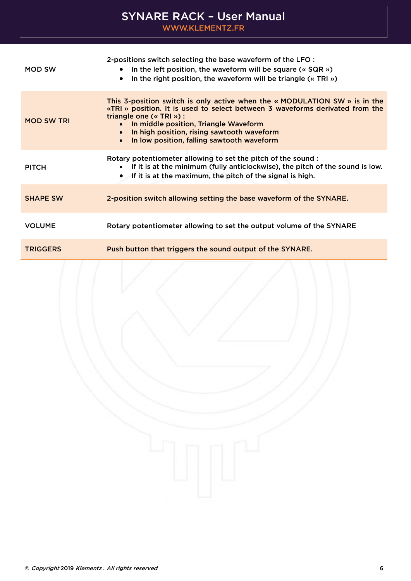| MOD SW            | 2-positions switch selecting the base waveform of the LFO :<br>In the left position, the waveform will be square ( $\alpha$ SQR $\omega$ )<br>In the right position, the waveform will be triangle (« TRI »)                                                                                                                                                         |
|-------------------|----------------------------------------------------------------------------------------------------------------------------------------------------------------------------------------------------------------------------------------------------------------------------------------------------------------------------------------------------------------------|
| <b>MOD SW TRI</b> | This 3-position switch is only active when the $\alpha$ MODULATION SW $\alpha$ is in the<br>«TRI» position. It is used to select between 3 waveforms derivated from the<br>triangle one (« TRI ») :<br>In middle position, Triangle Waveform<br>$\bullet$<br>• In high position, rising sawtooth waveform<br>In low position, falling sawtooth waveform<br>$\bullet$ |
| <b>PITCH</b>      | Rotary potentiometer allowing to set the pitch of the sound :<br>• If it is at the minimum (fully anticlockwise), the pitch of the sound is low.<br>• If it is at the maximum, the pitch of the signal is high.                                                                                                                                                      |
| <b>SHAPE SW</b>   | 2-position switch allowing setting the base waveform of the SYNARE.                                                                                                                                                                                                                                                                                                  |
| <b>VOLUME</b>     | Rotary potentiometer allowing to set the output volume of the SYNARE                                                                                                                                                                                                                                                                                                 |
| <b>TRIGGERS</b>   | Push button that triggers the sound output of the SYNARE.                                                                                                                                                                                                                                                                                                            |
|                   |                                                                                                                                                                                                                                                                                                                                                                      |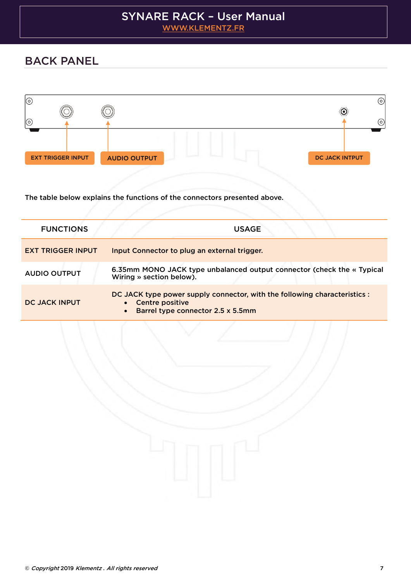# STREET WWW.KLEMENTZ.FR

[WWW.KLEMENTZ.FR](http://www.klementz.fr/)

### <span id="page-7-0"></span>BACK PANEL



The table below explains the functions of the connectors presented above.

| <b>FUNCTIONS</b>         | <b>USAGE</b>                                                                                                                                     |
|--------------------------|--------------------------------------------------------------------------------------------------------------------------------------------------|
| <b>EXT TRIGGER INPUT</b> | Input Connector to plug an external trigger.                                                                                                     |
| <b>AUDIO OUTPUT</b>      | 6.35mm MONO JACK type unbalanced output connector (check the « Typical<br>Wiring » section below).                                               |
| DC JACK INPUT            | DC JACK type power supply connector, with the following characteristics :<br>• Centre positive<br>Barrel type connector 2.5 x 5.5mm<br>$\bullet$ |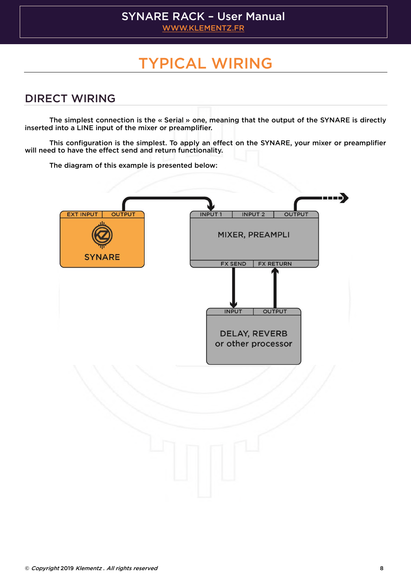# TYPICAL WIRELESS OF THE USE OF THE USE OF THE USE OF THE USE OF THE USE OF THE USE OF THE USE OF THE USE OF TH

### <span id="page-8-1"></span><span id="page-8-0"></span>**DIRECT WIRING** <u>Direct Wirings (2000)</u><br>Direct Wirings (2000)<br>Direct Wirings (2000)

The simplest connection is the « Serial » one, meaning that the output of the SYNARE is directly inserted into a LINE input of the mixer or preamplifier. inserted into a LINE input of the mixer or preamplifier.

 $T$  to have the effect send and return functionality. will need to have the effect send and return functionality.

The diagram of this example is presented below:

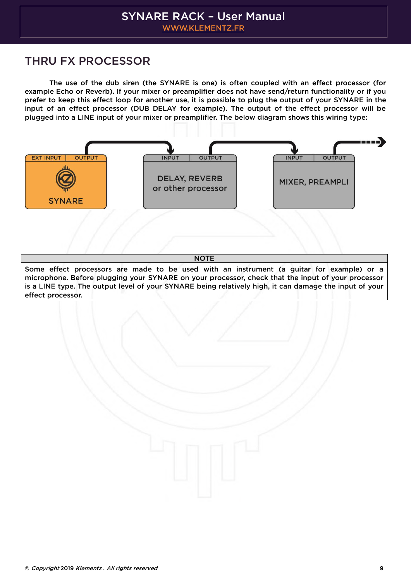# STREET WWW.KLEMENTZ.FR

[WWW.KLEMENTZ.FR](http://www.klementz.fr/)

## <span id="page-9-0"></span>The Company of the Company of the Company of the Company of the Company of the Company of the Company of the Co

The use of the dub siren (the SYNARE is one) is often coupled with an effect processor (for example Echo or Reverb). If your mixer or preamplifier does not have send/return functionality or if you prefer to keep this effect loop for another use, it is possible to plug the output of your SYNARE in the input of an effect processor (DUB DELAY for example). The output of the effect processor will be plugged into a LINE input of your mixer or preamplifier. The below diagram shows this wiring type: plugged into a LINE input of your mixer or preamplifier. The below diagram shows this wiring type:



NOTE<br>Some effect processors are made to be used with an instrument (a guitar for example) or a microphone. Before plugging your SYNARE on your processor, check that the input of your processor is a LINE type. The output level of your SYNARE being relatively high, it can damage the input of your  $\mathbf{f}$  a LINE type. The output level of  $\mathbf{f}$  and  $\mathbf{f}$  is called the input of  $\mathbf{f}$  and  $\mathbf{f}$  is  $\mathbf{f}$  and  $\mathbf{f}$  and  $\mathbf{f}$  is a damage the input of  $\mathbf{f}$  and  $\mathbf{f}$  and  $\mathbf{f}$  and  $\mathbf{f}$  a <u>effect</u> processor

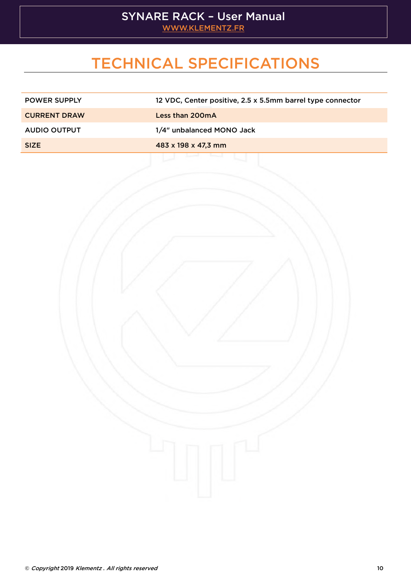# STREET WWW.KLEMENTZ.FR

[WWW.KLEMENTZ.FR](http://www.klementz.fr/)

## TECHNICAL SPECIFICATIONS

<span id="page-10-0"></span>

| <b>POWER SUPPLY</b> | 12 VDC, Center positive, 2.5 x 5.5mm barrel type connector |
|---------------------|------------------------------------------------------------|
| <b>CURRENT DRAW</b> | Less than 200mA                                            |
| <b>AUDIO OUTPUT</b> | 1/4" unbalanced MONO Jack                                  |
| <b>SIZE</b>         | 483 x 198 x 47,3 mm                                        |
|                     |                                                            |